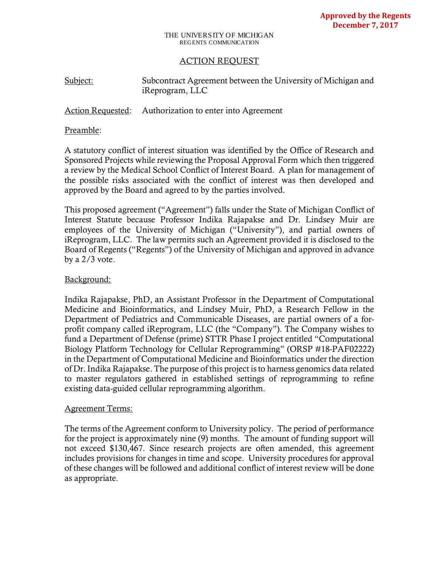#### THE UNIVERSITY OF MICHIGAN REGENTS COMMUNICATION

## ACTION REQUEST

| Subject: | Subcontract Agreement between the University of Michigan and |
|----------|--------------------------------------------------------------|
|          | iReprogram, LLC                                              |

## Action Requested: Authorization to enter into Agreement

### Preamble:

A statutory conflict of interest situation was identified by the Office of Research and Sponsored Projects while reviewing the Proposal Approval Form which then triggered a review by the Medical School Conflict of Interest Board. A plan for management of the possible risks associated with the conflict of interest was then developed and approved by the Board and agreed to by the parties involved.

This proposed agreement ("Agreement") falls under the State of Michigan Conflict of Interest Statute because Professor Indika Rajapakse and Dr. Lindsey Muir are employees of the University of Michigan ("University"), and partial owners of iReprogram, LLC. The law permits such an Agreement provided it is disclosed to the Board of Regents ("Regents") of the University of Michigan and approved in advance by a 2/3 vote.

## Background:

Indika Rajapakse, PhD, an Assistant Professor in the Department of Computational Medicine and Bioinformatics, and Lindsey Muir, PhD, a Research Fellow in the Department of Pediatrics and Communicable Diseases, are partial owners of a forprofit company called iReprogram, LLC (the "Company"). The Company wishes to fund a Department of Defense (prime) STTR Phase I project entitled "Computational Biology Platform Technology for Cellular Reprogramming" (ORSP #18-PAF02222) in the Department of Computational Medicine and Bioinformatics under the direction of Dr. Indika Rajapakse. The purpose of this project is to harness genomics data related to master regulators gathered in established settings of reprogramming to refine existing data-guided cellular reprogramming algorithm.

### Agreement Terms:

The terms of the Agreement conform to University policy. The period of performance for the project is approximately nine (9) months. The amount of funding support will not exceed \$130,467. Since research projects are often amended, this agreement includes provisions for changes in time and scope. University procedures for approval of these changes will be followed and additional conflict of interest review will be done as appropriate.